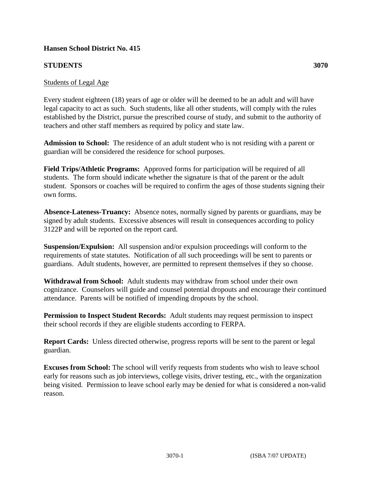## **Hansen School District No. 415**

## **STUDENTS 3070**

## Students of Legal Age

Every student eighteen (18) years of age or older will be deemed to be an adult and will have legal capacity to act as such. Such students, like all other students, will comply with the rules established by the District, pursue the prescribed course of study, and submit to the authority of teachers and other staff members as required by policy and state law.

**Admission to School:** The residence of an adult student who is not residing with a parent or guardian will be considered the residence for school purposes.

**Field Trips/Athletic Programs:** Approved forms for participation will be required of all students. The form should indicate whether the signature is that of the parent or the adult student. Sponsors or coaches will be required to confirm the ages of those students signing their own forms.

**Absence-Lateness-Truancy:** Absence notes, normally signed by parents or guardians, may be signed by adult students. Excessive absences will result in consequences according to policy 3122P and will be reported on the report card.

**Suspension/Expulsion:** All suspension and/or expulsion proceedings will conform to the requirements of state statutes. Notification of all such proceedings will be sent to parents or guardians. Adult students, however, are permitted to represent themselves if they so choose.

**Withdrawal from School:** Adult students may withdraw from school under their own cognizance. Counselors will guide and counsel potential dropouts and encourage their continued attendance. Parents will be notified of impending dropouts by the school.

**Permission to Inspect Student Records:** Adult students may request permission to inspect their school records if they are eligible students according to FERPA.

**Report Cards:** Unless directed otherwise, progress reports will be sent to the parent or legal guardian.

**Excuses from School:** The school will verify requests from students who wish to leave school early for reasons such as job interviews, college visits, driver testing, etc., with the organization being visited. Permission to leave school early may be denied for what is considered a non-valid reason.